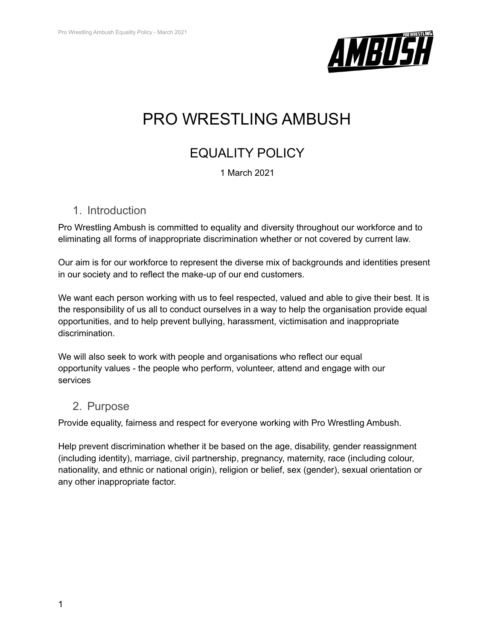

# PRO WRESTLING AMBUSH

## EQUALITY POLICY

1 March 2021

#### 1. Introduction

Pro Wrestling Ambush is committed to equality and diversity throughout our workforce and to eliminating all forms of inappropriate discrimination whether or not covered by current law.

Our aim is for our workforce to represent the diverse mix of backgrounds and identities present in our society and to reflect the make-up of our end customers.

We want each person working with us to feel respected, valued and able to give their best. It is the responsibility of us all to conduct ourselves in a way to help the organisation provide equal opportunities, and to help prevent bullying, harassment, victimisation and inappropriate discrimination.

We will also seek to work with people and organisations who reflect our equal opportunity values - the people who perform, volunteer, attend and engage with our services

#### 2. Purpose

Provide equality, fairness and respect for everyone working with Pro Wrestling Ambush.

Help prevent discrimination whether it be based on the age, disability, gender reassignment (including identity), marriage, civil partnership, pregnancy, maternity, race (including colour, nationality, and ethnic or national origin), religion or belief, sex (gender), sexual orientation or any other inappropriate factor.